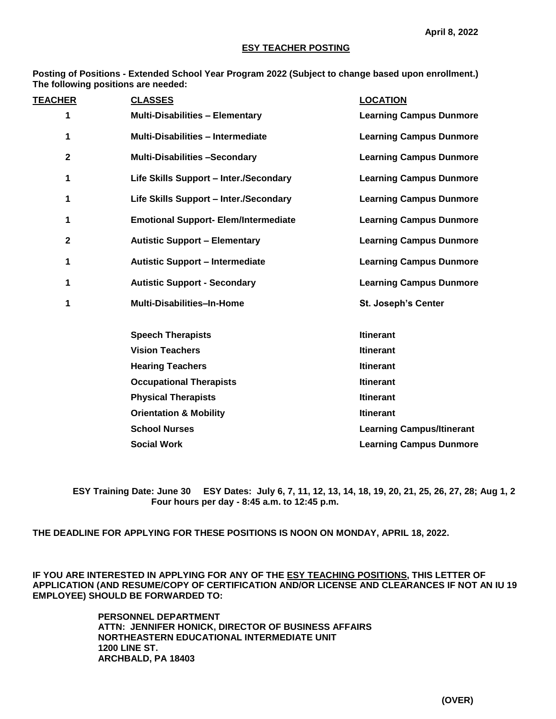### **ESY TEACHER POSTING**

**Posting of Positions - Extended School Year Program 2022 (Subject to change based upon enrollment.) The following positions are needed:**

| <b>TEACHER</b> |              | <b>CLASSES</b>                              | <b>LOCATION</b>                  |
|----------------|--------------|---------------------------------------------|----------------------------------|
|                | 1            | <b>Multi-Disabilities - Elementary</b>      | <b>Learning Campus Dunmore</b>   |
|                | 1            | <b>Multi-Disabilities - Intermediate</b>    | <b>Learning Campus Dunmore</b>   |
|                | $\mathbf{2}$ | <b>Multi-Disabilities -Secondary</b>        | <b>Learning Campus Dunmore</b>   |
|                | 1            | Life Skills Support - Inter./Secondary      | <b>Learning Campus Dunmore</b>   |
|                | 1            | Life Skills Support - Inter./Secondary      | <b>Learning Campus Dunmore</b>   |
|                | 1            | <b>Emotional Support- Elem/Intermediate</b> | <b>Learning Campus Dunmore</b>   |
|                | $\mathbf{2}$ | <b>Autistic Support - Elementary</b>        | <b>Learning Campus Dunmore</b>   |
|                | 1            | <b>Autistic Support - Intermediate</b>      | <b>Learning Campus Dunmore</b>   |
|                | 1            | <b>Autistic Support - Secondary</b>         | <b>Learning Campus Dunmore</b>   |
|                | 1            | <b>Multi-Disabilities-In-Home</b>           | <b>St. Joseph's Center</b>       |
|                |              | <b>Speech Therapists</b>                    | <b>Itinerant</b>                 |
|                |              | <b>Vision Teachers</b>                      | <b>Itinerant</b>                 |
|                |              | <b>Hearing Teachers</b>                     | <b>Itinerant</b>                 |
|                |              | <b>Occupational Therapists</b>              | <b>Itinerant</b>                 |
|                |              | <b>Physical Therapists</b>                  | <b>Itinerant</b>                 |
|                |              | <b>Orientation &amp; Mobility</b>           | <b>Itinerant</b>                 |
|                |              | <b>School Nurses</b>                        | <b>Learning Campus/Itinerant</b> |
|                |              | <b>Social Work</b>                          | <b>Learning Campus Dunmore</b>   |

**ESY Training Date: June 30 ESY Dates: July 6, 7, 11, 12, 13, 14, 18, 19, 20, 21, 25, 26, 27, 28; Aug 1, 2 Four hours per day - 8:45 a.m. to 12:45 p.m.**

**THE DEADLINE FOR APPLYING FOR THESE POSITIONS IS NOON ON MONDAY, APRIL 18, 2022.**

**IF YOU ARE INTERESTED IN APPLYING FOR ANY OF THE ESY TEACHING POSITIONS, THIS LETTER OF APPLICATION (AND RESUME/COPY OF CERTIFICATION AND/OR LICENSE AND CLEARANCES IF NOT AN IU 19 EMPLOYEE) SHOULD BE FORWARDED TO:** 

> **PERSONNEL DEPARTMENT ATTN: JENNIFER HONICK, DIRECTOR OF BUSINESS AFFAIRS NORTHEASTERN EDUCATIONAL INTERMEDIATE UNIT 1200 LINE ST. ARCHBALD, PA 18403**